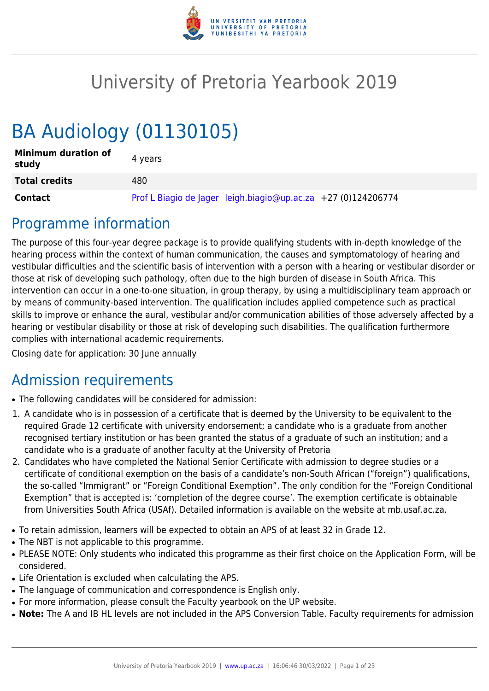

# University of Pretoria Yearbook 2019

# BA Audiology (01130105)

| <b>Minimum duration of</b><br>study | 4 vears                                                       |
|-------------------------------------|---------------------------------------------------------------|
| <b>Total credits</b>                | 480                                                           |
| Contact                             | Prof L Biagio de Jager leigh.biagio@up.ac.za +27 (0)124206774 |

## Programme information

The purpose of this four-year degree package is to provide qualifying students with in-depth knowledge of the hearing process within the context of human communication, the causes and symptomatology of hearing and vestibular difficulties and the scientific basis of intervention with a person with a hearing or vestibular disorder or those at risk of developing such pathology, often due to the high burden of disease in South Africa. This intervention can occur in a one-to-one situation, in group therapy, by using a multidisciplinary team approach or by means of community-based intervention. The qualification includes applied competence such as practical skills to improve or enhance the aural, vestibular and/or communication abilities of those adversely affected by a hearing or vestibular disability or those at risk of developing such disabilities. The qualification furthermore complies with international academic requirements.

Closing date for application: 30 June annually

## Admission requirements

- The following candidates will be considered for admission:
- 1. A candidate who is in possession of a certificate that is deemed by the University to be equivalent to the required Grade 12 certificate with university endorsement; a candidate who is a graduate from another recognised tertiary institution or has been granted the status of a graduate of such an institution; and a candidate who is a graduate of another faculty at the University of Pretoria
- 2. Candidates who have completed the National Senior Certificate with admission to degree studies or a certificate of conditional exemption on the basis of a candidate's non-South African ("foreign") qualifications, the so-called "Immigrant" or "Foreign Conditional Exemption". The only condition for the "Foreign Conditional Exemption" that is accepted is: 'completion of the degree course'. The exemption certificate is obtainable from Universities South Africa (USAf). Detailed information is available on the website at mb.usaf.ac.za.
- To retain admission, learners will be expected to obtain an APS of at least 32 in Grade 12.
- The NBT is not applicable to this programme.
- PLEASE NOTE: Only students who indicated this programme as their first choice on the Application Form, will be considered.
- Life Orientation is excluded when calculating the APS.
- The language of communication and correspondence is English only.
- For more information, please consult the Faculty yearbook on the UP website.
- Note: The A and IB HL levels are not included in the APS Conversion Table. Faculty requirements for admission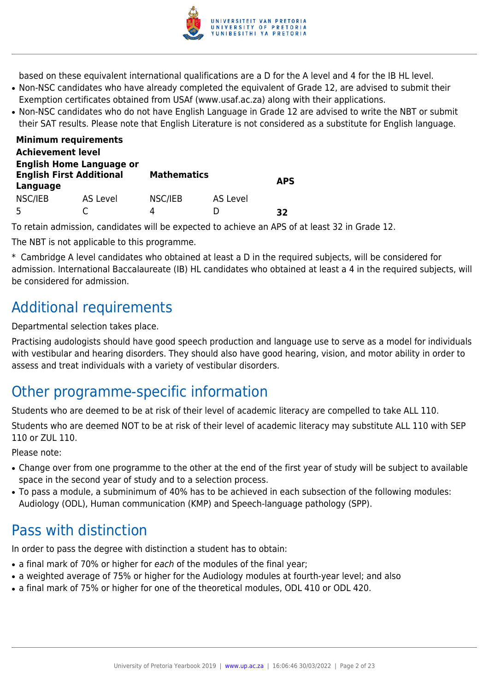

based on these equivalent international qualifications are a D for the A level and 4 for the IB HL level.

- Non-NSC candidates who have already completed the equivalent of Grade 12, are advised to submit their Exemption certificates obtained from USAf (www.usaf.ac.za) along with their applications.
- Non-NSC candidates who do not have English Language in Grade 12 are advised to write the NBT or submit their SAT results. Please note that English Literature is not considered as a substitute for English language.

| <b>Minimum requirements</b>                                                    |          |                    |          |            |
|--------------------------------------------------------------------------------|----------|--------------------|----------|------------|
| <b>Achievement level</b>                                                       |          |                    |          |            |
| <b>English Home Language or</b><br><b>English First Additional</b><br>Language |          | <b>Mathematics</b> |          | <b>APS</b> |
| NSC/IEB<br>5                                                                   | AS Level | NSC/IEB<br>4       | AS Level | 32         |

To retain admission, candidates will be expected to achieve an APS of at least 32 in Grade 12.

The NBT is not applicable to this programme.

\* Cambridge A level candidates who obtained at least a D in the required subjects, will be considered for admission. International Baccalaureate (IB) HL candidates who obtained at least a 4 in the required subjects, will be considered for admission.

## Additional requirements

Departmental selection takes place.

Practising audologists should have good speech production and language use to serve as a model for individuals with vestibular and hearing disorders. They should also have good hearing, vision, and motor ability in order to assess and treat individuals with a variety of vestibular disorders.

## Other programme-specific information

Students who are deemed to be at risk of their level of academic literacy are compelled to take ALL 110.

Students who are deemed NOT to be at risk of their level of academic literacy may substitute ALL 110 with SEP 110 or ZUL 110.

Please note:

- Change over from one programme to the other at the end of the first year of study will be subject to available space in the second year of study and to a selection process.
- To pass a module, a subminimum of 40% has to be achieved in each subsection of the following modules: Audiology (ODL), Human communication (KMP) and Speech-language pathology (SPP).

## Pass with distinction

In order to pass the degree with distinction a student has to obtain:

- a final mark of 70% or higher for each of the modules of the final year;
- a weighted average of 75% or higher for the Audiology modules at fourth-year level; and also
- a final mark of 75% or higher for one of the theoretical modules, ODL 410 or ODL 420.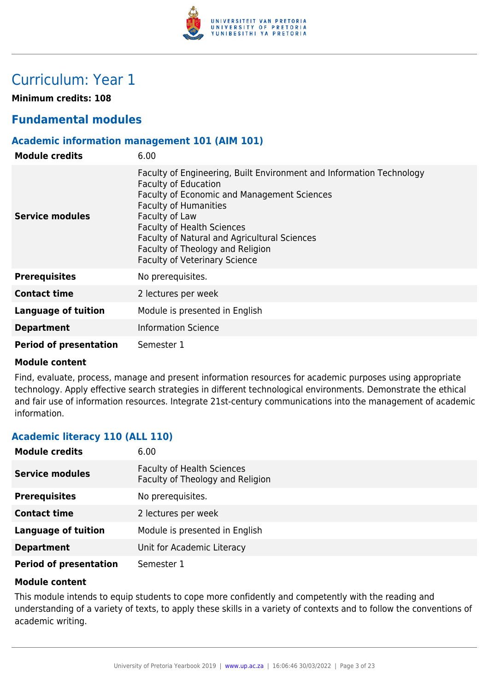

## Curriculum: Year 1

**Minimum credits: 108**

## **Fundamental modules**

## **Academic information management 101 (AIM 101)**

| <b>Module credits</b>         | 6.00                                                                                                                                                                                                                                                                                                                                                                  |
|-------------------------------|-----------------------------------------------------------------------------------------------------------------------------------------------------------------------------------------------------------------------------------------------------------------------------------------------------------------------------------------------------------------------|
| <b>Service modules</b>        | Faculty of Engineering, Built Environment and Information Technology<br><b>Faculty of Education</b><br>Faculty of Economic and Management Sciences<br><b>Faculty of Humanities</b><br>Faculty of Law<br><b>Faculty of Health Sciences</b><br>Faculty of Natural and Agricultural Sciences<br>Faculty of Theology and Religion<br><b>Faculty of Veterinary Science</b> |
| <b>Prerequisites</b>          | No prerequisites.                                                                                                                                                                                                                                                                                                                                                     |
| <b>Contact time</b>           | 2 lectures per week                                                                                                                                                                                                                                                                                                                                                   |
| <b>Language of tuition</b>    | Module is presented in English                                                                                                                                                                                                                                                                                                                                        |
| <b>Department</b>             | <b>Information Science</b>                                                                                                                                                                                                                                                                                                                                            |
| <b>Period of presentation</b> | Semester 1                                                                                                                                                                                                                                                                                                                                                            |

#### **Module content**

Find, evaluate, process, manage and present information resources for academic purposes using appropriate technology. Apply effective search strategies in different technological environments. Demonstrate the ethical and fair use of information resources. Integrate 21st-century communications into the management of academic information.

## **Academic literacy 110 (ALL 110)**

| <b>Module credits</b>         | 6.00                                                                  |
|-------------------------------|-----------------------------------------------------------------------|
| <b>Service modules</b>        | <b>Faculty of Health Sciences</b><br>Faculty of Theology and Religion |
| <b>Prerequisites</b>          | No prerequisites.                                                     |
| <b>Contact time</b>           | 2 lectures per week                                                   |
| <b>Language of tuition</b>    | Module is presented in English                                        |
| <b>Department</b>             | Unit for Academic Literacy                                            |
| <b>Period of presentation</b> | Semester 1                                                            |

#### **Module content**

This module intends to equip students to cope more confidently and competently with the reading and understanding of a variety of texts, to apply these skills in a variety of contexts and to follow the conventions of academic writing.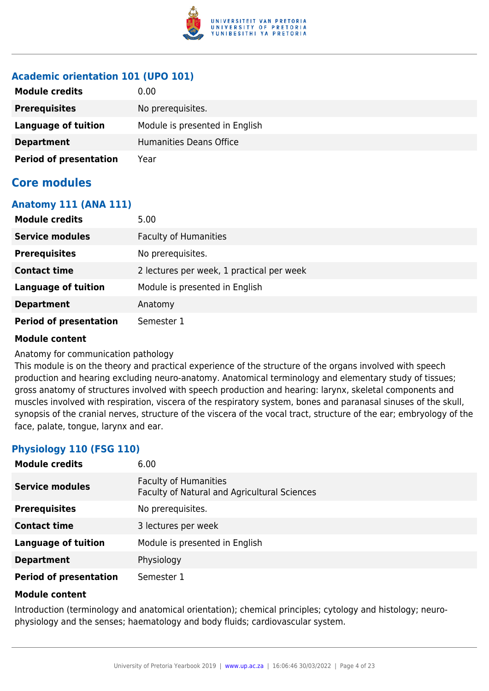

## **Academic orientation 101 (UPO 101)**

| <b>Module credits</b>         | 0.00                           |
|-------------------------------|--------------------------------|
| <b>Prerequisites</b>          | No prerequisites.              |
| Language of tuition           | Module is presented in English |
| <b>Department</b>             | Humanities Deans Office        |
| <b>Period of presentation</b> | Year                           |

## **Core modules**

## **Anatomy 111 (ANA 111)**

| <b>Module credits</b>         | 5.00                                      |
|-------------------------------|-------------------------------------------|
| <b>Service modules</b>        | <b>Faculty of Humanities</b>              |
| <b>Prerequisites</b>          | No prerequisites.                         |
| <b>Contact time</b>           | 2 lectures per week, 1 practical per week |
| <b>Language of tuition</b>    | Module is presented in English            |
| <b>Department</b>             | Anatomy                                   |
| <b>Period of presentation</b> | Semester 1                                |

## **Module content**

Anatomy for communication pathology

This module is on the theory and practical experience of the structure of the organs involved with speech production and hearing excluding neuro-anatomy. Anatomical terminology and elementary study of tissues; gross anatomy of structures involved with speech production and hearing: larynx, skeletal components and muscles involved with respiration, viscera of the respiratory system, bones and paranasal sinuses of the skull, synopsis of the cranial nerves, structure of the viscera of the vocal tract, structure of the ear; embryology of the face, palate, tongue, larynx and ear.

## **Physiology 110 (FSG 110)**

| <b>Module credits</b>         | 6.00                                                                         |
|-------------------------------|------------------------------------------------------------------------------|
| <b>Service modules</b>        | <b>Faculty of Humanities</b><br>Faculty of Natural and Agricultural Sciences |
| <b>Prerequisites</b>          | No prerequisites.                                                            |
| <b>Contact time</b>           | 3 lectures per week                                                          |
| <b>Language of tuition</b>    | Module is presented in English                                               |
| <b>Department</b>             | Physiology                                                                   |
| <b>Period of presentation</b> | Semester 1                                                                   |

## **Module content**

Introduction (terminology and anatomical orientation); chemical principles; cytology and histology; neurophysiology and the senses; haematology and body fluids; cardiovascular system.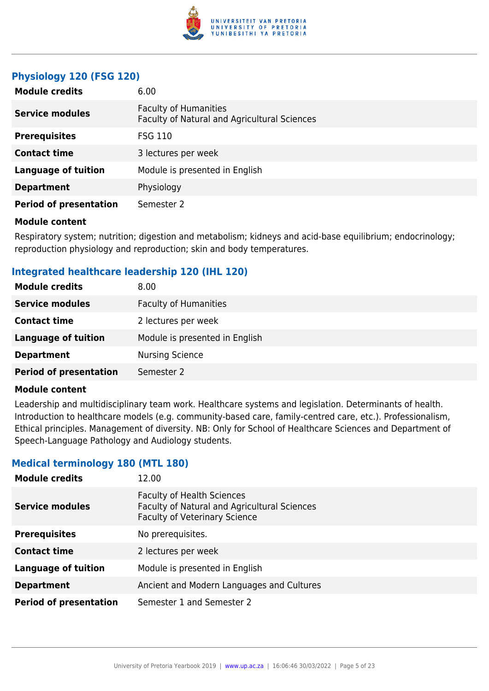

## **Physiology 120 (FSG 120)**

| <b>Module credits</b>         | 6.00                                                                         |
|-------------------------------|------------------------------------------------------------------------------|
| <b>Service modules</b>        | <b>Faculty of Humanities</b><br>Faculty of Natural and Agricultural Sciences |
| <b>Prerequisites</b>          | <b>FSG 110</b>                                                               |
| <b>Contact time</b>           | 3 lectures per week                                                          |
| <b>Language of tuition</b>    | Module is presented in English                                               |
| <b>Department</b>             | Physiology                                                                   |
| <b>Period of presentation</b> | Semester 2                                                                   |

#### **Module content**

Respiratory system; nutrition; digestion and metabolism; kidneys and acid-base equilibrium; endocrinology; reproduction physiology and reproduction; skin and body temperatures.

## **Integrated healthcare leadership 120 (IHL 120)**

| <b>Module credits</b>         | 8.00                           |
|-------------------------------|--------------------------------|
| <b>Service modules</b>        | <b>Faculty of Humanities</b>   |
| <b>Contact time</b>           | 2 lectures per week            |
| <b>Language of tuition</b>    | Module is presented in English |
| <b>Department</b>             | <b>Nursing Science</b>         |
| <b>Period of presentation</b> | Semester 2                     |

#### **Module content**

Leadership and multidisciplinary team work. Healthcare systems and legislation. Determinants of health. Introduction to healthcare models (e.g. community-based care, family-centred care, etc.). Professionalism, Ethical principles. Management of diversity. NB: Only for School of Healthcare Sciences and Department of Speech-Language Pathology and Audiology students.

## **Medical terminology 180 (MTL 180)**

| <b>Module credits</b>         | 12.00                                                                                                                     |
|-------------------------------|---------------------------------------------------------------------------------------------------------------------------|
| <b>Service modules</b>        | <b>Faculty of Health Sciences</b><br>Faculty of Natural and Agricultural Sciences<br><b>Faculty of Veterinary Science</b> |
| <b>Prerequisites</b>          | No prerequisites.                                                                                                         |
| <b>Contact time</b>           | 2 lectures per week                                                                                                       |
| <b>Language of tuition</b>    | Module is presented in English                                                                                            |
| <b>Department</b>             | Ancient and Modern Languages and Cultures                                                                                 |
| <b>Period of presentation</b> | Semester 1 and Semester 2                                                                                                 |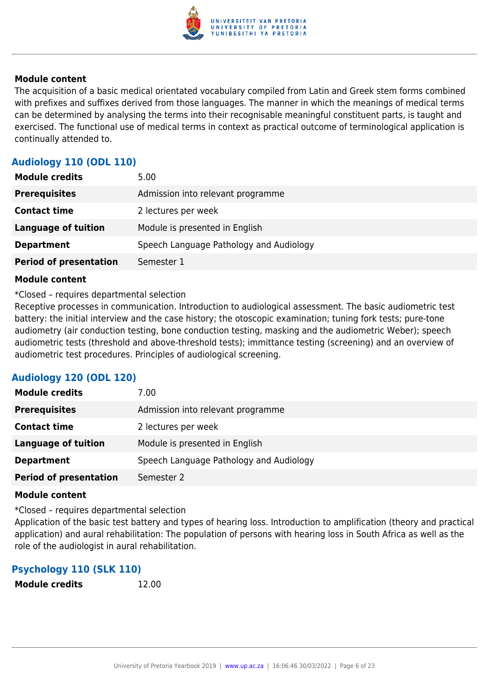

The acquisition of a basic medical orientated vocabulary compiled from Latin and Greek stem forms combined with prefixes and suffixes derived from those languages. The manner in which the meanings of medical terms can be determined by analysing the terms into their recognisable meaningful constituent parts, is taught and exercised. The functional use of medical terms in context as practical outcome of terminological application is continually attended to.

## **Audiology 110 (ODL 110)**

| <b>Module credits</b>         | 5.00                                    |
|-------------------------------|-----------------------------------------|
| <b>Prerequisites</b>          | Admission into relevant programme       |
| <b>Contact time</b>           | 2 lectures per week                     |
| <b>Language of tuition</b>    | Module is presented in English          |
| <b>Department</b>             | Speech Language Pathology and Audiology |
| <b>Period of presentation</b> | Semester 1                              |

### **Module content**

\*Closed – requires departmental selection

Receptive processes in communication. Introduction to audiological assessment. The basic audiometric test battery: the initial interview and the case history; the otoscopic examination; tuning fork tests; pure-tone audiometry (air conduction testing, bone conduction testing, masking and the audiometric Weber); speech audiometric tests (threshold and above-threshold tests); immittance testing (screening) and an overview of audiometric test procedures. Principles of audiological screening.

## **Audiology 120 (ODL 120)**

| <b>Module credits</b>         | 7.00                                    |
|-------------------------------|-----------------------------------------|
| <b>Prerequisites</b>          | Admission into relevant programme       |
| <b>Contact time</b>           | 2 lectures per week                     |
| <b>Language of tuition</b>    | Module is presented in English          |
| <b>Department</b>             | Speech Language Pathology and Audiology |
| <b>Period of presentation</b> | Semester 2                              |

#### **Module content**

\*Closed – requires departmental selection

Application of the basic test battery and types of hearing loss. Introduction to amplification (theory and practical application) and aural rehabilitation: The population of persons with hearing loss in South Africa as well as the role of the audiologist in aural rehabilitation.

## **Psychology 110 (SLK 110)**

**Module credits** 12.00

University of Pretoria Yearbook 2019 | [www.up.ac.za](https://www.google.com/) | 16:06:46 30/03/2022 | Page 6 of 23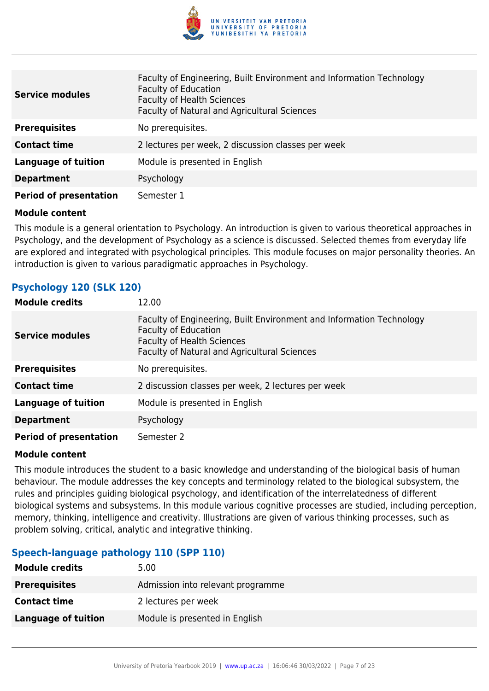

| <b>Service modules</b>        | Faculty of Engineering, Built Environment and Information Technology<br><b>Faculty of Education</b><br><b>Faculty of Health Sciences</b><br>Faculty of Natural and Agricultural Sciences |
|-------------------------------|------------------------------------------------------------------------------------------------------------------------------------------------------------------------------------------|
| <b>Prerequisites</b>          | No prerequisites.                                                                                                                                                                        |
| <b>Contact time</b>           | 2 lectures per week, 2 discussion classes per week                                                                                                                                       |
| <b>Language of tuition</b>    | Module is presented in English                                                                                                                                                           |
| <b>Department</b>             | Psychology                                                                                                                                                                               |
| <b>Period of presentation</b> | Semester 1                                                                                                                                                                               |

This module is a general orientation to Psychology. An introduction is given to various theoretical approaches in Psychology, and the development of Psychology as a science is discussed. Selected themes from everyday life are explored and integrated with psychological principles. This module focuses on major personality theories. An introduction is given to various paradigmatic approaches in Psychology.

## **Psychology 120 (SLK 120)**

| <b>Module credits</b>         | 12.00                                                                                                                                                                                    |
|-------------------------------|------------------------------------------------------------------------------------------------------------------------------------------------------------------------------------------|
| <b>Service modules</b>        | Faculty of Engineering, Built Environment and Information Technology<br><b>Faculty of Education</b><br><b>Faculty of Health Sciences</b><br>Faculty of Natural and Agricultural Sciences |
| <b>Prerequisites</b>          | No prerequisites.                                                                                                                                                                        |
| <b>Contact time</b>           | 2 discussion classes per week, 2 lectures per week                                                                                                                                       |
| <b>Language of tuition</b>    | Module is presented in English                                                                                                                                                           |
| <b>Department</b>             | Psychology                                                                                                                                                                               |
| <b>Period of presentation</b> | Semester 2                                                                                                                                                                               |

#### **Module content**

This module introduces the student to a basic knowledge and understanding of the biological basis of human behaviour. The module addresses the key concepts and terminology related to the biological subsystem, the rules and principles guiding biological psychology, and identification of the interrelatedness of different biological systems and subsystems. In this module various cognitive processes are studied, including perception, memory, thinking, intelligence and creativity. Illustrations are given of various thinking processes, such as problem solving, critical, analytic and integrative thinking.

## **Speech-language pathology 110 (SPP 110)**

| <b>Module credits</b>      | 5.00                              |
|----------------------------|-----------------------------------|
| <b>Prerequisites</b>       | Admission into relevant programme |
| <b>Contact time</b>        | 2 lectures per week               |
| <b>Language of tuition</b> | Module is presented in English    |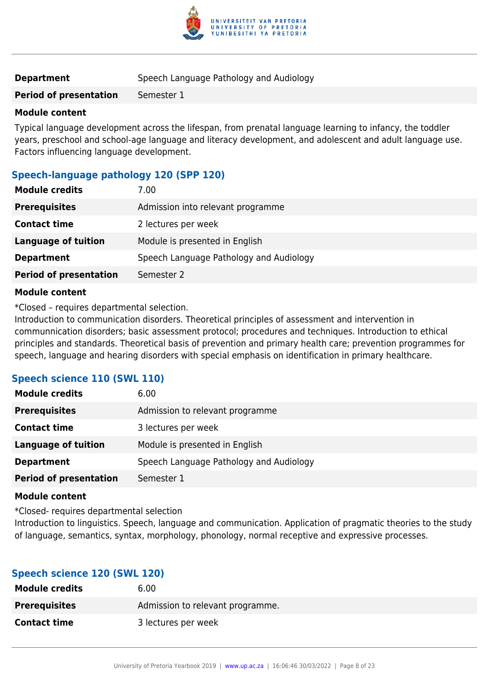

| <b>Department</b> | Speech Language Pathology and Audiology |
|-------------------|-----------------------------------------|
|-------------------|-----------------------------------------|

**Period of presentation** Semester 1

## **Module content**

Typical language development across the lifespan, from prenatal language learning to infancy, the toddler years, preschool and school-age language and literacy development, and adolescent and adult language use. Factors influencing language development.

## **Speech-language pathology 120 (SPP 120)**

| <b>Module credits</b>         | 7.00                                    |
|-------------------------------|-----------------------------------------|
| <b>Prerequisites</b>          | Admission into relevant programme       |
| <b>Contact time</b>           | 2 lectures per week                     |
| <b>Language of tuition</b>    | Module is presented in English          |
| <b>Department</b>             | Speech Language Pathology and Audiology |
| <b>Period of presentation</b> | Semester 2                              |
|                               |                                         |

### **Module content**

\*Closed – requires departmental selection.

Introduction to communication disorders. Theoretical principles of assessment and intervention in communnication disorders; basic assessment protocol; procedures and techniques. Introduction to ethical principles and standards. Theoretical basis of prevention and primary health care; prevention programmes for speech, language and hearing disorders with special emphasis on identification in primary healthcare.

## **Speech science 110 (SWL 110)**

| <b>Module credits</b>         | 6.00                                    |
|-------------------------------|-----------------------------------------|
| <b>Prerequisites</b>          | Admission to relevant programme         |
| <b>Contact time</b>           | 3 lectures per week                     |
| <b>Language of tuition</b>    | Module is presented in English          |
| <b>Department</b>             | Speech Language Pathology and Audiology |
| <b>Period of presentation</b> | Semester 1                              |

## **Module content**

\*Closed- requires departmental seIection

Introduction to linguistics. Speech, language and communication. Application of pragmatic theories to the study of language, semantics, syntax, morphology, phonology, normal receptive and expressive processes.

## **Speech science 120 (SWL 120)**

| <b>Module credits</b> | 6.00                             |
|-----------------------|----------------------------------|
| <b>Prerequisites</b>  | Admission to relevant programme. |
| <b>Contact time</b>   | 3 lectures per week              |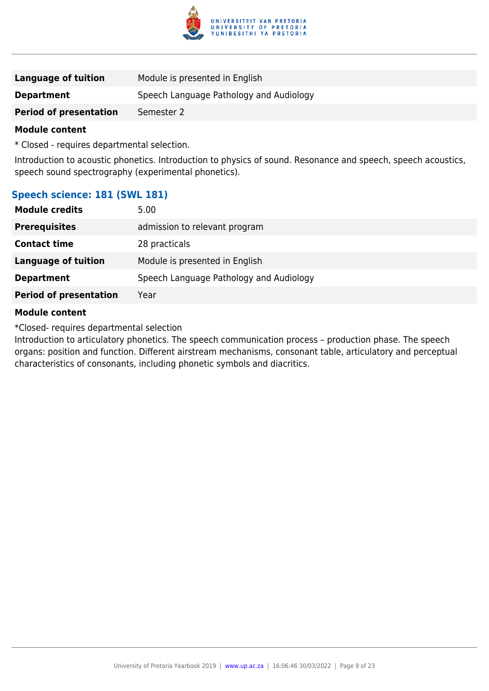

| Language of tuition           | Module is presented in English          |
|-------------------------------|-----------------------------------------|
| <b>Department</b>             | Speech Language Pathology and Audiology |
| <b>Period of presentation</b> | Semester 2                              |

\* Closed - requires departmental selection.

Introduction to acoustic phonetics. Introduction to physics of sound. Resonance and speech, speech acoustics, speech sound spectrography (experimental phonetics).

## **Speech science: 181 (SWL 181)**

| <b>Module credits</b>         | 5.00                                    |
|-------------------------------|-----------------------------------------|
| <b>Prerequisites</b>          | admission to relevant program           |
| <b>Contact time</b>           | 28 practicals                           |
| <b>Language of tuition</b>    | Module is presented in English          |
| <b>Department</b>             | Speech Language Pathology and Audiology |
| <b>Period of presentation</b> | Year                                    |
|                               |                                         |

### **Module content**

\*Closed- requires departmental selection

Introduction to articulatory phonetics. The speech communication process – production phase. The speech organs: position and function. Different airstream mechanisms, consonant table, articulatory and perceptual characteristics of consonants, including phonetic symbols and diacritics.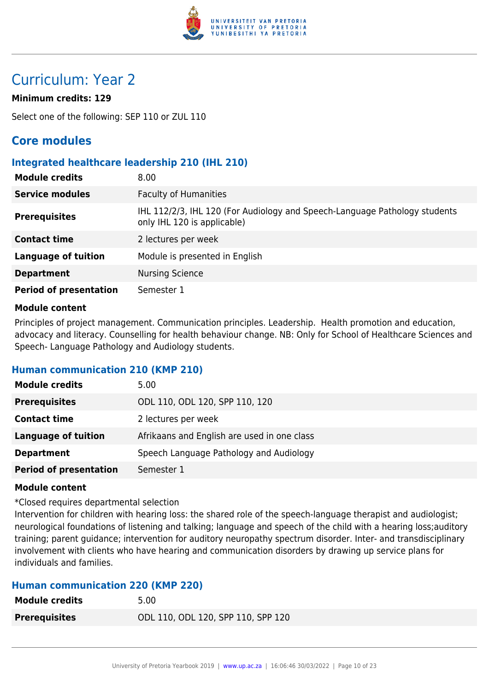

## Curriculum: Year 2

## **Minimum credits: 129**

Select one of the following: SEP 110 or ZUL 110

## **Core modules**

## **Integrated healthcare leadership 210 (IHL 210)**

| <b>Module credits</b>         | 8.00                                                                                                      |
|-------------------------------|-----------------------------------------------------------------------------------------------------------|
| <b>Service modules</b>        | <b>Faculty of Humanities</b>                                                                              |
| <b>Prerequisites</b>          | IHL 112/2/3, IHL 120 (For Audiology and Speech-Language Pathology students<br>only IHL 120 is applicable) |
| <b>Contact time</b>           | 2 lectures per week                                                                                       |
| Language of tuition           | Module is presented in English                                                                            |
| <b>Department</b>             | <b>Nursing Science</b>                                                                                    |
| <b>Period of presentation</b> | Semester 1                                                                                                |

### **Module content**

Principles of project management. Communication principles. Leadership. Health promotion and education, advocacy and literacy. Counselling for health behaviour change. NB: Only for School of Healthcare Sciences and Speech- Language Pathology and Audiology students.

## **Human communication 210 (KMP 210)**

| <b>Module credits</b>         | 5.00                                        |
|-------------------------------|---------------------------------------------|
| <b>Prerequisites</b>          | ODL 110, ODL 120, SPP 110, 120              |
| <b>Contact time</b>           | 2 lectures per week                         |
| Language of tuition           | Afrikaans and English are used in one class |
| <b>Department</b>             | Speech Language Pathology and Audiology     |
| <b>Period of presentation</b> | Semester 1                                  |

#### **Module content**

\*Closed requires departmental selection

Intervention for children with hearing loss: the shared role of the speech-language therapist and audiologist; neurological foundations of listening and talking; language and speech of the child with a hearing loss;auditory training; parent guidance; intervention for auditory neuropathy spectrum disorder. Inter- and transdisciplinary involvement with clients who have hearing and communication disorders by drawing up service plans for individuals and families.

## **Human communication 220 (KMP 220)**

| <b>Module credits</b> | 5.00                               |
|-----------------------|------------------------------------|
| <b>Prerequisites</b>  | ODL 110, ODL 120, SPP 110, SPP 120 |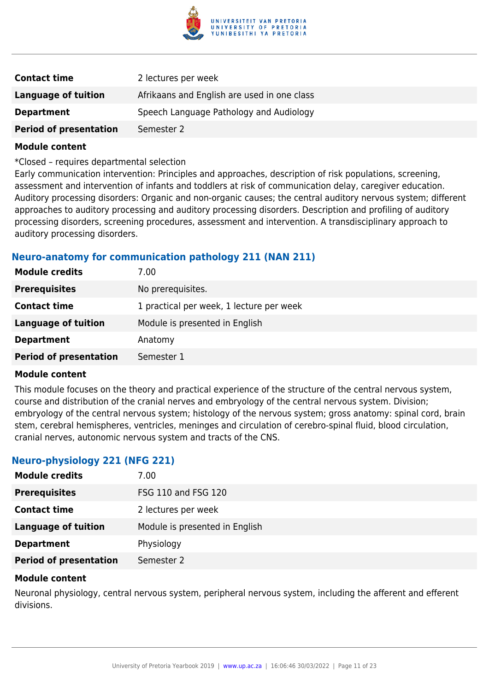

| <b>Contact time</b>           | 2 lectures per week                         |
|-------------------------------|---------------------------------------------|
| Language of tuition           | Afrikaans and English are used in one class |
| <b>Department</b>             | Speech Language Pathology and Audiology     |
| <b>Period of presentation</b> | Semester 2                                  |

\*Closed – requires departmental selection

Early communication intervention: Principles and approaches, description of risk populations, screening, assessment and intervention of infants and toddlers at risk of communication delay, caregiver education. Auditory processing disorders: Organic and non-organic causes; the central auditory nervous system; different approaches to auditory processing and auditory processing disorders. Description and profiling of auditory processing disorders, screening procedures, assessment and intervention. A transdisciplinary approach to auditory processing disorders.

## **Neuro-anatomy for communication pathology 211 (NAN 211)**

| <b>Module credits</b>         | 7.00                                     |
|-------------------------------|------------------------------------------|
| <b>Prerequisites</b>          | No prerequisites.                        |
| <b>Contact time</b>           | 1 practical per week, 1 lecture per week |
| <b>Language of tuition</b>    | Module is presented in English           |
| <b>Department</b>             | Anatomy                                  |
| <b>Period of presentation</b> | Semester 1                               |

#### **Module content**

This module focuses on the theory and practical experience of the structure of the central nervous system, course and distribution of the cranial nerves and embryology of the central nervous system. Division; embryology of the central nervous system; histology of the nervous system; gross anatomy: spinal cord, brain stem, cerebral hemispheres, ventricles, meninges and circulation of cerebro-spinal fluid, blood circulation, cranial nerves, autonomic nervous system and tracts of the CNS.

## **Neuro-physiology 221 (NFG 221)**

| <b>Module credits</b>         | 7.00                           |
|-------------------------------|--------------------------------|
| <b>Prerequisites</b>          | FSG 110 and FSG 120            |
| <b>Contact time</b>           | 2 lectures per week            |
| Language of tuition           | Module is presented in English |
| <b>Department</b>             | Physiology                     |
| <b>Period of presentation</b> | Semester 2                     |

#### **Module content**

Neuronal physiology, central nervous system, peripheral nervous system, including the afferent and efferent divisions.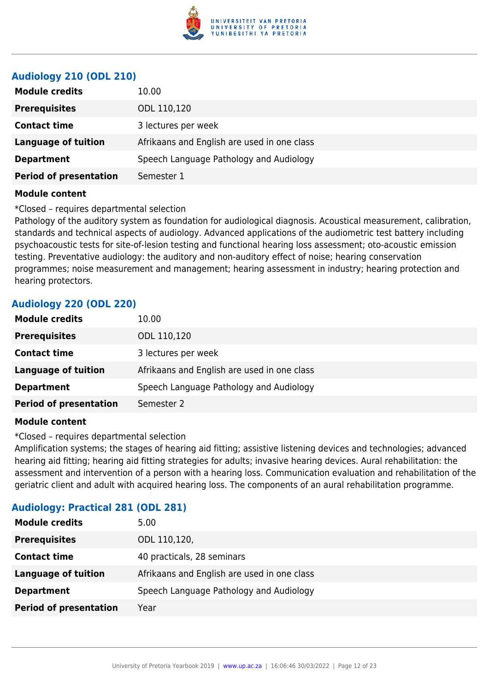

## **Audiology 210 (ODL 210)**

| <b>Module credits</b><br>10.00              |                                             |
|---------------------------------------------|---------------------------------------------|
| <b>Prerequisites</b><br>ODL 110,120         |                                             |
| <b>Contact time</b><br>3 lectures per week  |                                             |
| <b>Language of tuition</b>                  | Afrikaans and English are used in one class |
| <b>Department</b>                           | Speech Language Pathology and Audiology     |
| <b>Period of presentation</b><br>Semester 1 |                                             |

#### **Module content**

\*Closed – requires departmental selection

Pathology of the auditory system as foundation for audiological diagnosis. Acoustical measurement, calibration, standards and technical aspects of audiology. Advanced applications of the audiometric test battery including psychoacoustic tests for site-of-lesion testing and functional hearing loss assessment; oto-acoustic emission testing. Preventative audiology: the auditory and non-auditory effect of noise; hearing conservation programmes; noise measurement and management; hearing assessment in industry; hearing protection and hearing protectors.

## **Audiology 220 (ODL 220)**

| <b>Module credits</b>         | 10.00                                       |
|-------------------------------|---------------------------------------------|
| <b>Prerequisites</b>          | ODL 110,120                                 |
| <b>Contact time</b>           | 3 lectures per week                         |
| Language of tuition           | Afrikaans and English are used in one class |
| <b>Department</b>             | Speech Language Pathology and Audiology     |
| <b>Period of presentation</b> | Semester 2                                  |
|                               |                                             |

#### **Module content**

\*Closed – requires departmental selection

Amplification systems; the stages of hearing aid fitting; assistive listening devices and technologies; advanced hearing aid fitting; hearing aid fitting strategies for adults; invasive hearing devices. Aural rehabilitation: the assessment and intervention of a person with a hearing loss. Communication evaluation and rehabilitation of the geriatric client and adult with acquired hearing loss. The components of an aural rehabilitation programme.

| HUMIOIOGYI I IUCCICUI EUI (UDE EUI) |                                             |
|-------------------------------------|---------------------------------------------|
| <b>Module credits</b>               | 5.00                                        |
| <b>Prerequisites</b>                | ODL 110,120,                                |
| <b>Contact time</b>                 | 40 practicals, 28 seminars                  |
| <b>Language of tuition</b>          | Afrikaans and English are used in one class |
| <b>Department</b>                   | Speech Language Pathology and Audiology     |
| <b>Period of presentation</b>       | Year                                        |

## **Audiology: Practical 281 (ODL 281)**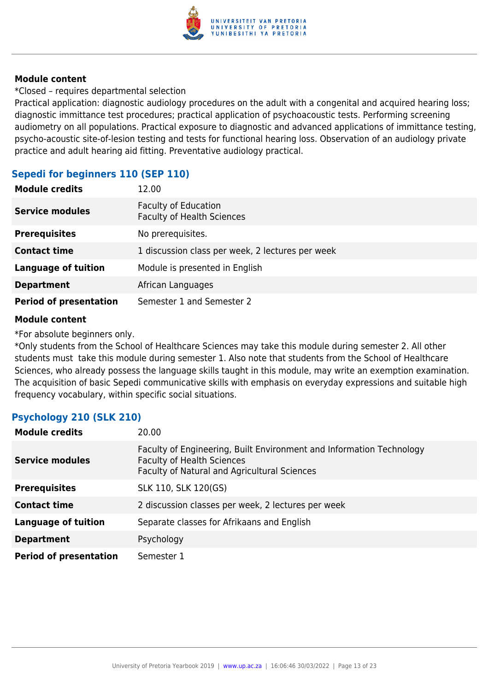

\*Closed – requires departmental selection

Practical application: diagnostic audiology procedures on the adult with a congenital and acquired hearing loss; diagnostic immittance test procedures; practical application of psychoacoustic tests. Performing screening audiometry on all populations. Practical exposure to diagnostic and advanced applications of immittance testing, psycho-acoustic site-of-lesion testing and tests for functional hearing loss. Observation of an audiology private practice and adult hearing aid fitting. Preventative audiology practical.

## **Sepedi for beginners 110 (SEP 110)**

| <b>Module credits</b>         | 12.00                                                            |
|-------------------------------|------------------------------------------------------------------|
| <b>Service modules</b>        | <b>Faculty of Education</b><br><b>Faculty of Health Sciences</b> |
| <b>Prerequisites</b>          | No prerequisites.                                                |
| <b>Contact time</b>           | 1 discussion class per week, 2 lectures per week                 |
| <b>Language of tuition</b>    | Module is presented in English                                   |
| <b>Department</b>             | African Languages                                                |
| <b>Period of presentation</b> | Semester 1 and Semester 2                                        |

## **Module content**

\*For absolute beginners only.

\*Only students from the School of Healthcare Sciences may take this module during semester 2. All other students must take this module during semester 1. Also note that students from the School of Healthcare Sciences, who already possess the language skills taught in this module, may write an exemption examination. The acquisition of basic Sepedi communicative skills with emphasis on everyday expressions and suitable high frequency vocabulary, within specific social situations.

## **Psychology 210 (SLK 210)**

| <b>Module credits</b>         | 20.00                                                                                                                                                     |
|-------------------------------|-----------------------------------------------------------------------------------------------------------------------------------------------------------|
| <b>Service modules</b>        | Faculty of Engineering, Built Environment and Information Technology<br><b>Faculty of Health Sciences</b><br>Faculty of Natural and Agricultural Sciences |
| <b>Prerequisites</b>          | SLK 110, SLK 120(GS)                                                                                                                                      |
| <b>Contact time</b>           | 2 discussion classes per week, 2 lectures per week                                                                                                        |
| <b>Language of tuition</b>    | Separate classes for Afrikaans and English                                                                                                                |
| <b>Department</b>             | Psychology                                                                                                                                                |
| <b>Period of presentation</b> | Semester 1                                                                                                                                                |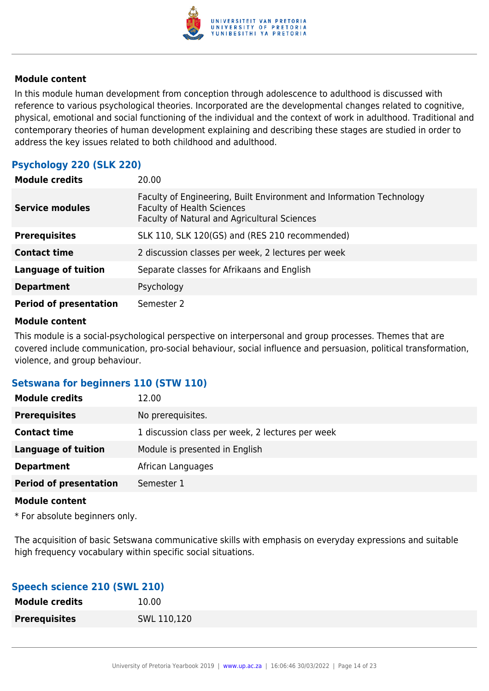

In this module human development from conception through adolescence to adulthood is discussed with reference to various psychological theories. Incorporated are the developmental changes related to cognitive, physical, emotional and social functioning of the individual and the context of work in adulthood. Traditional and contemporary theories of human development explaining and describing these stages are studied in order to address the key issues related to both childhood and adulthood.

## **Psychology 220 (SLK 220)**

| <b>Module credits</b>         | 20.00                                                                                                                                                     |
|-------------------------------|-----------------------------------------------------------------------------------------------------------------------------------------------------------|
| <b>Service modules</b>        | Faculty of Engineering, Built Environment and Information Technology<br><b>Faculty of Health Sciences</b><br>Faculty of Natural and Agricultural Sciences |
| <b>Prerequisites</b>          | SLK 110, SLK 120(GS) and (RES 210 recommended)                                                                                                            |
| <b>Contact time</b>           | 2 discussion classes per week, 2 lectures per week                                                                                                        |
| Language of tuition           | Separate classes for Afrikaans and English                                                                                                                |
| <b>Department</b>             | Psychology                                                                                                                                                |
| <b>Period of presentation</b> | Semester 2                                                                                                                                                |

### **Module content**

This module is a social-psychological perspective on interpersonal and group processes. Themes that are covered include communication, pro-social behaviour, social influence and persuasion, political transformation, violence, and group behaviour.

## **Setswana for beginners 110 (STW 110)**

| <b>Module credits</b>         | 12.00                                            |
|-------------------------------|--------------------------------------------------|
| <b>Prerequisites</b>          | No prerequisites.                                |
| <b>Contact time</b>           | 1 discussion class per week, 2 lectures per week |
| <b>Language of tuition</b>    | Module is presented in English                   |
| <b>Department</b>             | African Languages                                |
| <b>Period of presentation</b> | Semester 1                                       |
|                               |                                                  |

#### **Module content**

\* For absolute beginners only.

The acquisition of basic Setswana communicative skills with emphasis on everyday expressions and suitable high frequency vocabulary within specific social situations.

## **Speech science 210 (SWL 210)**

| <b>Module credits</b> | 10.00       |
|-----------------------|-------------|
| <b>Prerequisites</b>  | SWL 110,120 |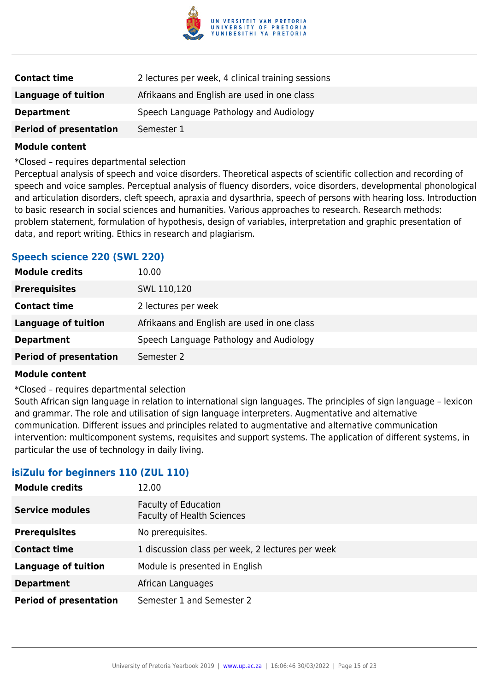

| <b>Contact time</b>           | 2 lectures per week, 4 clinical training sessions |
|-------------------------------|---------------------------------------------------|
| <b>Language of tuition</b>    | Afrikaans and English are used in one class       |
| <b>Department</b>             | Speech Language Pathology and Audiology           |
| <b>Period of presentation</b> | Semester 1                                        |

\*Closed – requires departmental selection

Perceptual analysis of speech and voice disorders. Theoretical aspects of scientific collection and recording of speech and voice samples. Perceptual analysis of fluency disorders, voice disorders, developmental phonological and articulation disorders, cleft speech, apraxia and dysarthria, speech of persons with hearing loss. Introduction to basic research in social sciences and humanities. Various approaches to research. Research methods: problem statement, formulation of hypothesis, design of variables, interpretation and graphic presentation of data, and report writing. Ethics in research and plagiarism.

## **Speech science 220 (SWL 220)**

| <b>Module credits</b>         | 10.00                                       |
|-------------------------------|---------------------------------------------|
| <b>Prerequisites</b>          | SWL 110,120                                 |
| <b>Contact time</b>           | 2 lectures per week                         |
| <b>Language of tuition</b>    | Afrikaans and English are used in one class |
| <b>Department</b>             | Speech Language Pathology and Audiology     |
| <b>Period of presentation</b> | Semester 2                                  |

#### **Module content**

\*Closed – requires departmental selection

South African sign language in relation to international sign languages. The principles of sign language – lexicon and grammar. The role and utilisation of sign language interpreters. Augmentative and alternative communication. Different issues and principles related to augmentative and alternative communication intervention: multicomponent systems, requisites and support systems. The application of different systems, in particular the use of technology in daily living.

## **isiZulu for beginners 110 (ZUL 110)**

| <b>Module credits</b>         | 12.00                                                            |
|-------------------------------|------------------------------------------------------------------|
| <b>Service modules</b>        | <b>Faculty of Education</b><br><b>Faculty of Health Sciences</b> |
| <b>Prerequisites</b>          | No prerequisites.                                                |
| <b>Contact time</b>           | 1 discussion class per week, 2 lectures per week                 |
| <b>Language of tuition</b>    | Module is presented in English                                   |
| <b>Department</b>             | African Languages                                                |
| <b>Period of presentation</b> | Semester 1 and Semester 2                                        |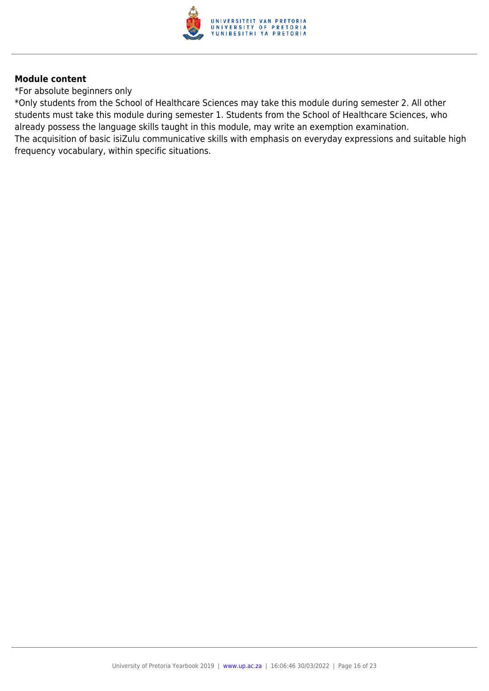

\*For absolute beginners only

\*Only students from the School of Healthcare Sciences may take this module during semester 2. All other students must take this module during semester 1. Students from the School of Healthcare Sciences, who already possess the language skills taught in this module, may write an exemption examination. The acquisition of basic isiZulu communicative skills with emphasis on everyday expressions and suitable high frequency vocabulary, within specific situations.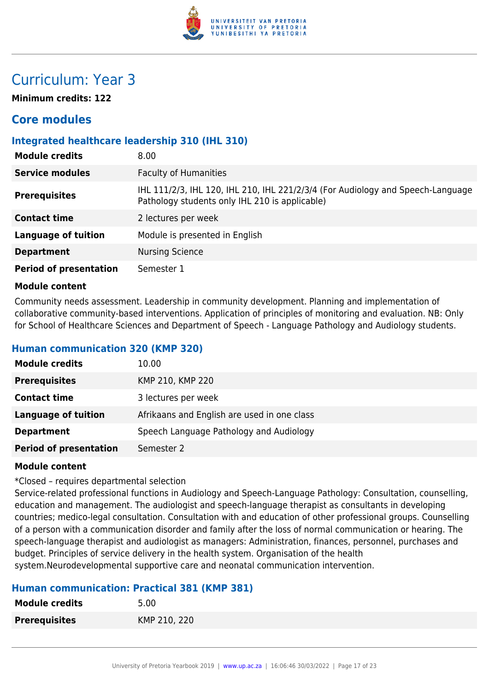

## Curriculum: Year 3

**Minimum credits: 122**

## **Core modules**

## **Integrated healthcare leadership 310 (IHL 310)**

| <b>Module credits</b>         | 8.00                                                                                                                              |
|-------------------------------|-----------------------------------------------------------------------------------------------------------------------------------|
| <b>Service modules</b>        | <b>Faculty of Humanities</b>                                                                                                      |
| <b>Prerequisites</b>          | IHL 111/2/3, IHL 120, IHL 210, IHL 221/2/3/4 (For Audiology and Speech-Language<br>Pathology students only IHL 210 is applicable) |
| <b>Contact time</b>           | 2 lectures per week                                                                                                               |
| <b>Language of tuition</b>    | Module is presented in English                                                                                                    |
| <b>Department</b>             | <b>Nursing Science</b>                                                                                                            |
| <b>Period of presentation</b> | Semester 1                                                                                                                        |

#### **Module content**

Community needs assessment. Leadership in community development. Planning and implementation of collaborative community-based interventions. Application of principles of monitoring and evaluation. NB: Only for School of Healthcare Sciences and Department of Speech - Language Pathology and Audiology students.

## **Human communication 320 (KMP 320)**

| <b>Module credits</b>         | 10.00                                       |
|-------------------------------|---------------------------------------------|
| <b>Prerequisites</b>          | KMP 210, KMP 220                            |
| <b>Contact time</b>           | 3 lectures per week                         |
| Language of tuition           | Afrikaans and English are used in one class |
| <b>Department</b>             | Speech Language Pathology and Audiology     |
| <b>Period of presentation</b> | Semester 2                                  |

## **Module content**

#### \*Closed – requires departmental selection

Service-related professional functions in Audiology and Speech-Language Pathology: Consultation, counselling, education and management. The audiologist and speech-language therapist as consultants in developing countries; medico-legal consultation. Consultation with and education of other professional groups. Counselling of a person with a communication disorder and family after the loss of normal communication or hearing. The speech-language therapist and audiologist as managers: Administration, finances, personnel, purchases and budget. Principles of service delivery in the health system. Organisation of the health system.Neurodevelopmental supportive care and neonatal communication intervention.

## **Human communication: Practical 381 (KMP 381)**

| <b>Module credits</b> | 5.00         |
|-----------------------|--------------|
| <b>Prerequisites</b>  | KMP 210, 220 |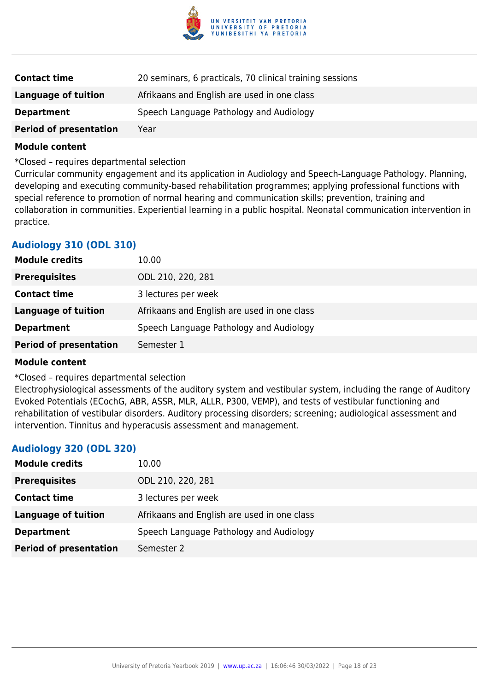

| <b>Contact time</b>           | 20 seminars, 6 practicals, 70 clinical training sessions |
|-------------------------------|----------------------------------------------------------|
| Language of tuition           | Afrikaans and English are used in one class              |
| <b>Department</b>             | Speech Language Pathology and Audiology                  |
| <b>Period of presentation</b> | Year                                                     |

\*Closed – requires departmental selection

Curricular community engagement and its application in Audiology and Speech-Language Pathology. Planning, developing and executing community-based rehabilitation programmes; applying professional functions with special reference to promotion of normal hearing and communication skills; prevention, training and collaboration in communities. Experiential learning in a public hospital. Neonatal communication intervention in practice.

## **Audiology 310 (ODL 310)**

| <b>Module credits</b>         | 10.00                                       |
|-------------------------------|---------------------------------------------|
| <b>Prerequisites</b>          | ODL 210, 220, 281                           |
| <b>Contact time</b>           | 3 lectures per week                         |
| Language of tuition           | Afrikaans and English are used in one class |
| <b>Department</b>             | Speech Language Pathology and Audiology     |
| <b>Period of presentation</b> | Semester 1                                  |

#### **Module content**

\*Closed – requires departmental selection

Electrophysiological assessments of the auditory system and vestibular system, including the range of Auditory Evoked Potentials (ECochG, ABR, ASSR, MLR, ALLR, P300, VEMP), and tests of vestibular functioning and rehabilitation of vestibular disorders. Auditory processing disorders; screening; audiological assessment and intervention. Tinnitus and hyperacusis assessment and management.

## **Audiology 320 (ODL 320)**

| <b>Module credits</b>         | 10.00                                       |
|-------------------------------|---------------------------------------------|
| <b>Prerequisites</b>          | ODL 210, 220, 281                           |
| <b>Contact time</b>           | 3 lectures per week                         |
| Language of tuition           | Afrikaans and English are used in one class |
| <b>Department</b>             | Speech Language Pathology and Audiology     |
| <b>Period of presentation</b> | Semester 2                                  |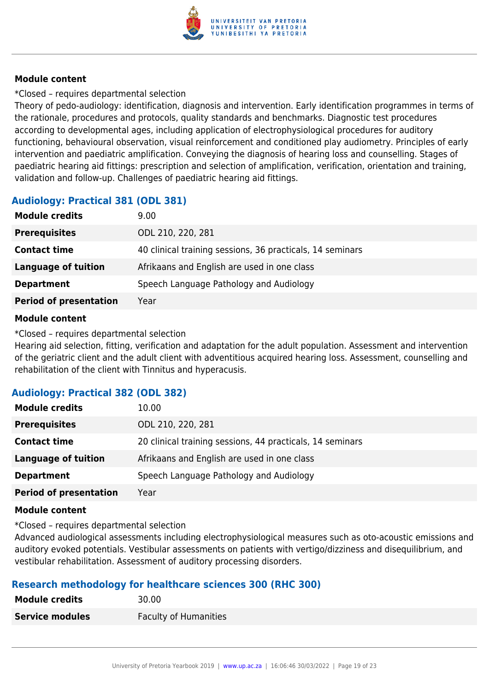

\*Closed – requires departmental selection

Theory of pedo-audiology: identification, diagnosis and intervention. Early identification programmes in terms of the rationale, procedures and protocols, quality standards and benchmarks. Diagnostic test procedures according to developmental ages, including application of electrophysiological procedures for auditory functioning, behavioural observation, visual reinforcement and conditioned play audiometry. Principles of early intervention and paediatric amplification. Conveying the diagnosis of hearing loss and counselling. Stages of paediatric hearing aid fittings: prescription and selection of amplification, verification, orientation and training, validation and follow-up. Challenges of paediatric hearing aid fittings.

## **Audiology: Practical 381 (ODL 381)**

| <b>Module credits</b>         | 9.00                                                      |
|-------------------------------|-----------------------------------------------------------|
| <b>Prerequisites</b>          | ODL 210, 220, 281                                         |
| <b>Contact time</b>           | 40 clinical training sessions, 36 practicals, 14 seminars |
| <b>Language of tuition</b>    | Afrikaans and English are used in one class               |
| <b>Department</b>             | Speech Language Pathology and Audiology                   |
| <b>Period of presentation</b> | Year                                                      |

## **Module content**

\*Closed – requires departmental selection

Hearing aid selection, fitting, verification and adaptation for the adult population. Assessment and intervention of the geriatric client and the adult client with adventitious acquired hearing loss. Assessment, counselling and rehabilitation of the client with Tinnitus and hyperacusis.

## **Audiology: Practical 382 (ODL 382)**

| <b>Module credits</b>         | 10.00                                                     |
|-------------------------------|-----------------------------------------------------------|
| <b>Prerequisites</b>          | ODL 210, 220, 281                                         |
| <b>Contact time</b>           | 20 clinical training sessions, 44 practicals, 14 seminars |
| Language of tuition           | Afrikaans and English are used in one class               |
| <b>Department</b>             | Speech Language Pathology and Audiology                   |
| <b>Period of presentation</b> | Year                                                      |

## **Module content**

\*Closed – requires departmental selection

Advanced audiological assessments including electrophysiological measures such as oto-acoustic emissions and auditory evoked potentials. Vestibular assessments on patients with vertigo/dizziness and disequilibrium, and vestibular rehabilitation. Assessment of auditory processing disorders.

## **Research methodology for healthcare sciences 300 (RHC 300)**

| <b>Module credits</b>  | 30.00                        |
|------------------------|------------------------------|
| <b>Service modules</b> | <b>Faculty of Humanities</b> |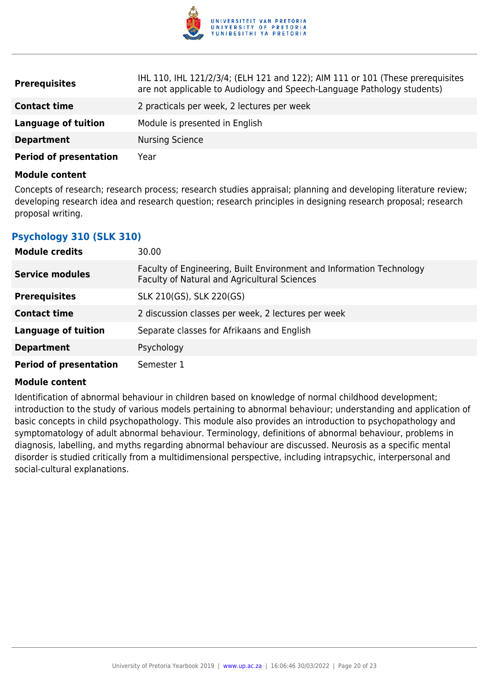

| <b>Prerequisites</b>          | IHL 110, IHL 121/2/3/4; (ELH 121 and 122); AIM 111 or 101 (These prerequisites<br>are not applicable to Audiology and Speech-Language Pathology students) |
|-------------------------------|-----------------------------------------------------------------------------------------------------------------------------------------------------------|
| <b>Contact time</b>           | 2 practicals per week, 2 lectures per week                                                                                                                |
| <b>Language of tuition</b>    | Module is presented in English                                                                                                                            |
| <b>Department</b>             | <b>Nursing Science</b>                                                                                                                                    |
| <b>Period of presentation</b> | Year                                                                                                                                                      |

Concepts of research; research process; research studies appraisal; planning and developing literature review; developing research idea and research question; research principles in designing research proposal; research proposal writing.

## **Psychology 310 (SLK 310)**

| <b>Module credits</b>         | 30.00                                                                                                                |
|-------------------------------|----------------------------------------------------------------------------------------------------------------------|
| <b>Service modules</b>        | Faculty of Engineering, Built Environment and Information Technology<br>Faculty of Natural and Agricultural Sciences |
| <b>Prerequisites</b>          | SLK 210(GS), SLK 220(GS)                                                                                             |
| <b>Contact time</b>           | 2 discussion classes per week, 2 lectures per week                                                                   |
| <b>Language of tuition</b>    | Separate classes for Afrikaans and English                                                                           |
| <b>Department</b>             | Psychology                                                                                                           |
| <b>Period of presentation</b> | Semester 1                                                                                                           |

## **Module content**

Identification of abnormal behaviour in children based on knowledge of normal childhood development; introduction to the study of various models pertaining to abnormal behaviour; understanding and application of basic concepts in child psychopathology. This module also provides an introduction to psychopathology and symptomatology of adult abnormal behaviour. Terminology, definitions of abnormal behaviour, problems in diagnosis, labelling, and myths regarding abnormal behaviour are discussed. Neurosis as a specific mental disorder is studied critically from a multidimensional perspective, including intrapsychic, interpersonal and social-cultural explanations.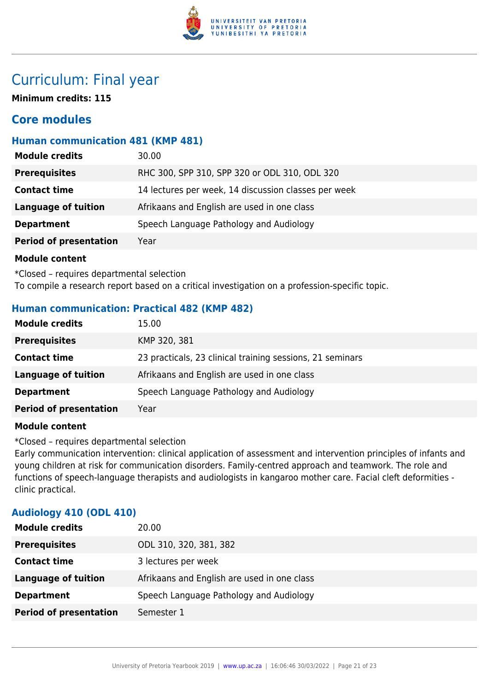

## Curriculum: Final year

**Minimum credits: 115**

## **Core modules**

## **Human communication 481 (KMP 481)**

| <b>Module credits</b>         | 30.00                                                |
|-------------------------------|------------------------------------------------------|
| <b>Prerequisites</b>          | RHC 300, SPP 310, SPP 320 or ODL 310, ODL 320        |
| <b>Contact time</b>           | 14 lectures per week, 14 discussion classes per week |
| Language of tuition           | Afrikaans and English are used in one class          |
| <b>Department</b>             | Speech Language Pathology and Audiology              |
| <b>Period of presentation</b> | Year                                                 |
|                               |                                                      |

## **Module content**

\*Closed – requires departmental selection To compile a research report based on a critical investigation on a profession-specific topic.

## **Human communication: Practical 482 (KMP 482)**

| <b>Module credits</b>         | 15.00                                                     |
|-------------------------------|-----------------------------------------------------------|
| <b>Prerequisites</b>          | KMP 320, 381                                              |
| <b>Contact time</b>           | 23 practicals, 23 clinical training sessions, 21 seminars |
| Language of tuition           | Afrikaans and English are used in one class               |
| <b>Department</b>             | Speech Language Pathology and Audiology                   |
| <b>Period of presentation</b> | Year                                                      |

## **Module content**

\*Closed – requires departmental selection

Early communication intervention: clinical application of assessment and intervention principles of infants and young children at risk for communication disorders. Family-centred approach and teamwork. The role and functions of speech-language therapists and audiologists in kangaroo mother care. Facial cleft deformities clinic practical.

## **Audiology 410 (ODL 410)**

| <b>Module credits</b>         | 20.00                                       |
|-------------------------------|---------------------------------------------|
| <b>Prerequisites</b>          | ODL 310, 320, 381, 382                      |
| <b>Contact time</b>           | 3 lectures per week                         |
| <b>Language of tuition</b>    | Afrikaans and English are used in one class |
| <b>Department</b>             | Speech Language Pathology and Audiology     |
| <b>Period of presentation</b> | Semester 1                                  |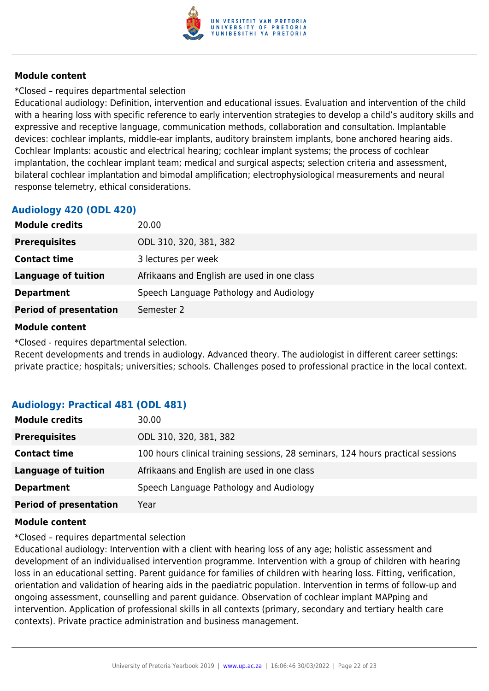

## \*Closed – requires departmental selection

Educational audiology: Definition, intervention and educational issues. Evaluation and intervention of the child with a hearing loss with specific reference to early intervention strategies to develop a child's auditory skills and expressive and receptive language, communication methods, collaboration and consultation. Implantable devices: cochlear implants, middle-ear implants, auditory brainstem implants, bone anchored hearing aids. Cochlear Implants: acoustic and electrical hearing; cochlear implant systems; the process of cochlear implantation, the cochlear implant team; medical and surgical aspects; selection criteria and assessment, bilateral cochlear implantation and bimodal amplification; electrophysiological measurements and neural response telemetry, ethical considerations.

## **Audiology 420 (ODL 420)**

| 20.00                                       |
|---------------------------------------------|
| ODL 310, 320, 381, 382                      |
| 3 lectures per week                         |
| Afrikaans and English are used in one class |
| Speech Language Pathology and Audiology     |
| Semester 2                                  |
|                                             |

## **Module content**

\*Closed - requires departmental selection.

Recent developments and trends in audiology. Advanced theory. The audiologist in different career settings: private practice; hospitals; universities; schools. Challenges posed to professional practice in the local context.

## **Audiology: Practical 481 (ODL 481)**

| ODL 310, 320, 381, 382<br><b>Prerequisites</b><br>100 hours clinical training sessions, 28 seminars, 124 hours practical sessions<br><b>Contact time</b><br><b>Language of tuition</b><br>Afrikaans and English are used in one class |
|---------------------------------------------------------------------------------------------------------------------------------------------------------------------------------------------------------------------------------------|
|                                                                                                                                                                                                                                       |
|                                                                                                                                                                                                                                       |
|                                                                                                                                                                                                                                       |
| Speech Language Pathology and Audiology<br><b>Department</b>                                                                                                                                                                          |
| <b>Period of presentation</b><br>Year                                                                                                                                                                                                 |

## **Module content**

\*Closed – requires departmental selection

Educational audiology: Intervention with a client with hearing loss of any age; holistic assessment and development of an individualised intervention programme. Intervention with a group of children with hearing loss in an educational setting. Parent guidance for families of children with hearing loss. Fitting, verification, orientation and validation of hearing aids in the paediatric population. Intervention in terms of follow-up and ongoing assessment, counselling and parent guidance. Observation of cochlear implant MAPping and intervention. Application of professional skills in all contexts (primary, secondary and tertiary health care contexts). Private practice administration and business management.